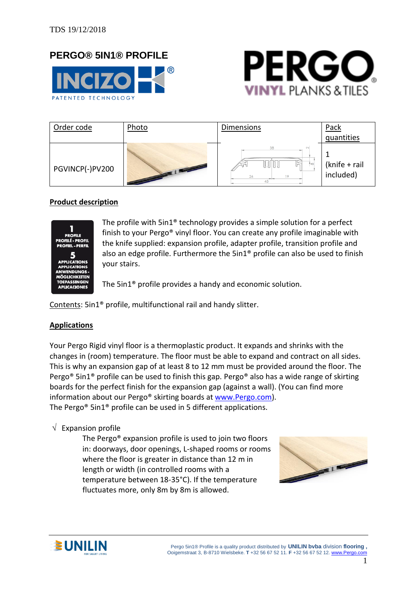# **PERGO® 5IN1® PROFILE**





| Order code      | Photo                          | Dimensions      | Pack                        |
|-----------------|--------------------------------|-----------------|-----------------------------|
|                 |                                |                 | guantities                  |
| PGVINCP(-)PV200 | <b>TILL AND REAL PROPERTY.</b> | ∔ ത<br>26<br>19 | (knife + rail)<br>included) |

### **Product description**



The profile with 5in1® technology provides a simple solution for a perfect finish to your Pergo® vinyl floor. You can create any profile imaginable with the knife supplied: expansion profile, adapter profile, transition profile and also an edge profile. Furthermore the 5in1® profile can also be used to finish your stairs.

The 5in1® profile provides a handy and economic solution.

Contents: 5in1® profile, multifunctional rail and handy slitter.

#### **Applications**

Your Pergo Rigid vinyl floor is a thermoplastic product. It expands and shrinks with the changes in (room) temperature. The floor must be able to expand and contract on all sides. This is why an expansion gap of at least 8 to 12 mm must be provided around the floor. The Pergo® 5in1® profile can be used to finish this gap. Pergo® also has a wide range of skirting boards for the perfect finish for the expansion gap (against a wall). (You can find more information about our Pergo® skirting boards at [www.Pergo.com\)](http://www.pergo.com/). The Pergo® 5in1® profile can be used in 5 different applications.

#### $\sqrt{\phantom{a}}$  Expansion profile

The Pergo® expansion profile is used to join two floors in: doorways, door openings, L-shaped rooms or rooms where the floor is greater in distance than 12 m in length or width (in controlled rooms with a temperature between 18-35°C). If the temperature fluctuates more, only 8m by 8m is allowed.



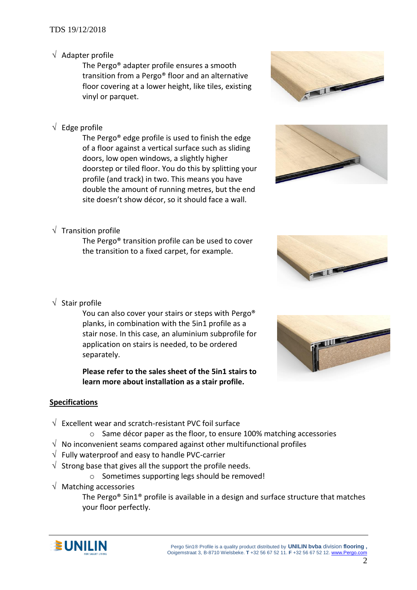## $\sqrt{\phantom{a}}$  Adapter profile

The Pergo® adapter profile ensures a smooth transition from a Pergo® floor and an alternative floor covering at a lower height, like tiles, existing vinyl or parquet.

# $\sqrt{\phantom{a}}$  Edge profile

The Pergo® edge profile is used to finish the edge of a floor against a vertical surface such as sliding doors, low open windows, a slightly higher doorstep or tiled floor. You do this by splitting your profile (and track) in two. This means you have double the amount of running metres, but the end site doesn't show décor, so it should face a wall.

# $\sqrt{\ }$  Transition profile

The Pergo® transition profile can be used to cover the transition to a fixed carpet, for example.







# $\sqrt{\ }$  Stair profile

You can also cover your stairs or steps with Pergo® planks, in combination with the 5in1 profile as a stair nose. In this case, an aluminium subprofile for application on stairs is needed, to be ordered separately.

**Please refer to the sales sheet of the 5in1 stairs to learn more about installation as a stair profile.**

### **Specifications**

- $\sqrt{ }$  Excellent wear and scratch-resistant PVC foil surface
	- o Same décor paper as the floor, to ensure 100% matching accessories
- $\sqrt{ }$  No inconvenient seams compared against other multifunctional profiles
- $\sqrt{\phantom{a}}$  Fully waterproof and easy to handle PVC-carrier
- $\sqrt{ }$  Strong base that gives all the support the profile needs.
	- o Sometimes supporting legs should be removed!
- $\sqrt{ }$  Matching accessories

The Pergo<sup>®</sup> 5in1<sup>®</sup> profile is available in a design and surface structure that matches your floor perfectly.

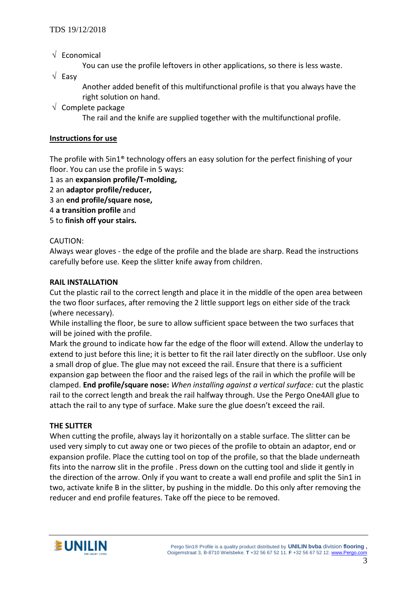$\sqrt{\phantom{a}}$  Economical

You can use the profile leftovers in other applications, so there is less waste.

 $\sqrt{}$  Easy

Another added benefit of this multifunctional profile is that you always have the right solution on hand.

 $\sqrt{ }$  Complete package

The rail and the knife are supplied together with the multifunctional profile.

#### **Instructions for use**

The profile with 5in1® technology offers an easy solution for the perfect finishing of your floor. You can use the profile in 5 ways:

1 as an **expansion profile/T-molding,** 

2 an **adaptor profile/reducer,** 

3 an **end profile/square nose,** 

- 4 **a transition profile** and
- 5 to **finish off your stairs.**

#### CAUTION:

Always wear gloves - the edge of the profile and the blade are sharp. Read the instructions carefully before use. Keep the slitter knife away from children.

#### **RAIL INSTALLATION**

Cut the plastic rail to the correct length and place it in the middle of the open area between the two floor surfaces, after removing the 2 little support legs on either side of the track (where necessary).

While installing the floor, be sure to allow sufficient space between the two surfaces that will be joined with the profile.

Mark the ground to indicate how far the edge of the floor will extend. Allow the underlay to extend to just before this line; it is better to fit the rail later directly on the subfloor. Use only a small drop of glue. The glue may not exceed the rail. Ensure that there is a sufficient expansion gap between the floor and the raised legs of the rail in which the profile will be clamped. **End profile/square nose:** *When installing against a vertical surface:* cut the plastic rail to the correct length and break the rail halfway through. Use the Pergo One4All glue to attach the rail to any type of surface. Make sure the glue doesn't exceed the rail.

#### **THE SLITTER**

When cutting the profile, always lay it horizontally on a stable surface. The slitter can be used very simply to cut away one or two pieces of the profile to obtain an adaptor, end or expansion profile. Place the cutting tool on top of the profile, so that the blade underneath fits into the narrow slit in the profile . Press down on the cutting tool and slide it gently in the direction of the arrow. Only if you want to create a wall end profile and split the 5in1 in two, activate knife B in the slitter, by pushing in the middle. Do this only after removing the reducer and end profile features. Take off the piece to be removed.

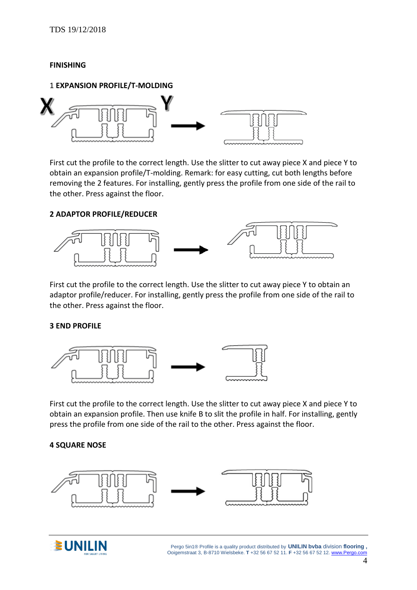### **FINISHING**

#### 1 **EXPANSION PROFILE/T-MOLDING**



First cut the profile to the correct length. Use the slitter to cut away piece X and piece Y to obtain an expansion profile/T-molding. Remark: for easy cutting, cut both lengths before removing the 2 features. For installing, gently press the profile from one side of the rail to the other. Press against the floor.

#### **2 ADAPTOR PROFILE/REDUCER**



First cut the profile to the correct length. Use the slitter to cut away piece Y to obtain an adaptor profile/reducer. For installing, gently press the profile from one side of the rail to the other. Press against the floor.

#### **3 END PROFILE**



First cut the profile to the correct length. Use the slitter to cut away piece X and piece Y to obtain an expansion profile. Then use knife B to slit the profile in half. For installing, gently press the profile from one side of the rail to the other. Press against the floor.

#### **4 SQUARE NOSE**





 Pergo 5in1® Profile is a quality product distributed by **UNILIN bvba** division **flooring ,** Ooigemstraat 3, B-8710 Wielsbeke. **T** +32 56 67 52 11. **F** +32 56 67 52 12[. www.Pergo.com](http://www.pergo.com/)